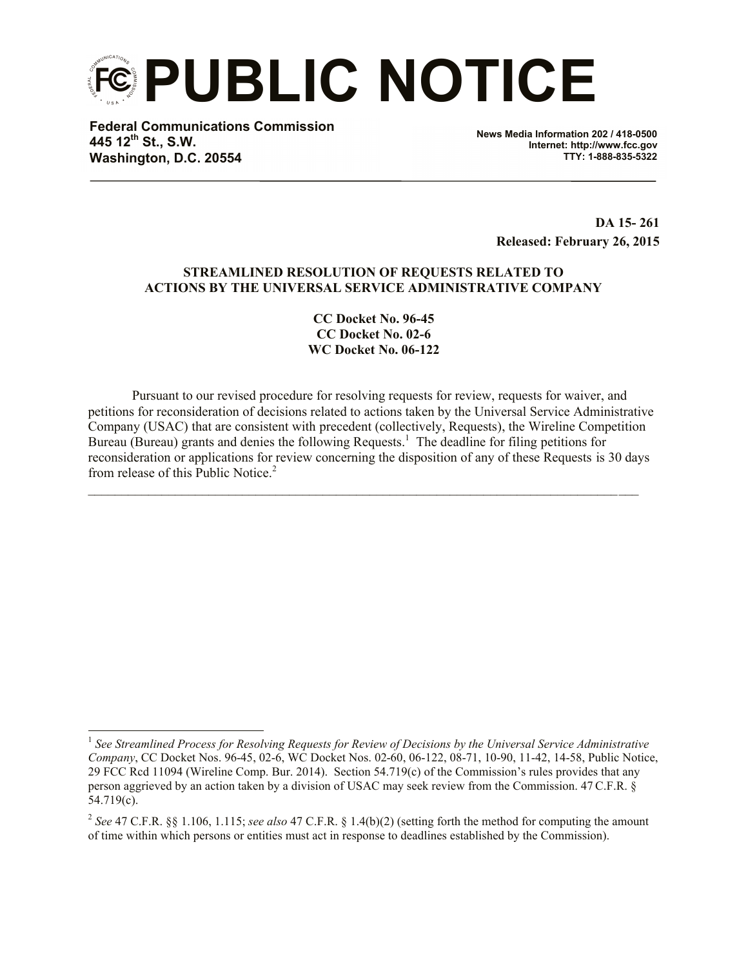**PUBLIC NOTICE**

**Federal Communications Commission 445 12th St., S.W. Washington, D.C. 20554**

l

**News Media Information 202 / 418-0500 Internet: http://www.fcc.gov TTY: 1-888-835-5322**

> **DA 15- 261 Released: February 26, 2015**

### **STREAMLINED RESOLUTION OF REQUESTS RELATED TO ACTIONS BY THE UNIVERSAL SERVICE ADMINISTRATIVE COMPANY**

**CC Docket No. 96-45 CC Docket No. 02-6 WC Docket No. 06-122**

Pursuant to our revised procedure for resolving requests for review, requests for waiver, and petitions for reconsideration of decisions related to actions taken by the Universal Service Administrative Company (USAC) that are consistent with precedent (collectively, Requests), the Wireline Competition Bureau (Bureau) grants and denies the following Requests.<sup>1</sup> The deadline for filing petitions for reconsideration or applications for review concerning the disposition of any of these Requests is 30 days from release of this Public Notice.<sup>2</sup>

 $\mathcal{L}_\mathcal{L} = \{ \mathcal{L}_\mathcal{L} = \{ \mathcal{L}_\mathcal{L} = \{ \mathcal{L}_\mathcal{L} = \{ \mathcal{L}_\mathcal{L} = \{ \mathcal{L}_\mathcal{L} = \{ \mathcal{L}_\mathcal{L} = \{ \mathcal{L}_\mathcal{L} = \{ \mathcal{L}_\mathcal{L} = \{ \mathcal{L}_\mathcal{L} = \{ \mathcal{L}_\mathcal{L} = \{ \mathcal{L}_\mathcal{L} = \{ \mathcal{L}_\mathcal{L} = \{ \mathcal{L}_\mathcal{L} = \{ \mathcal{L}_\mathcal{$ 

<sup>&</sup>lt;sup>1</sup> See Streamlined Process for Resolving Requests for Review of Decisions by the Universal Service Administrative *Company*, CC Docket Nos. 96-45, 02-6, WC Docket Nos. 02-60, 06-122, 08-71, 10-90, 11-42, 14-58, Public Notice, 29 FCC Rcd 11094 (Wireline Comp. Bur. 2014). Section 54.719(c) of the Commission's rules provides that any person aggrieved by an action taken by a division of USAC may seek review from the Commission. 47 C.F.R. § 54.719(c).

<sup>2</sup> *See* 47 C.F.R. §§ 1.106, 1.115; *see also* 47 C.F.R. § 1.4(b)(2) (setting forth the method for computing the amount of time within which persons or entities must act in response to deadlines established by the Commission).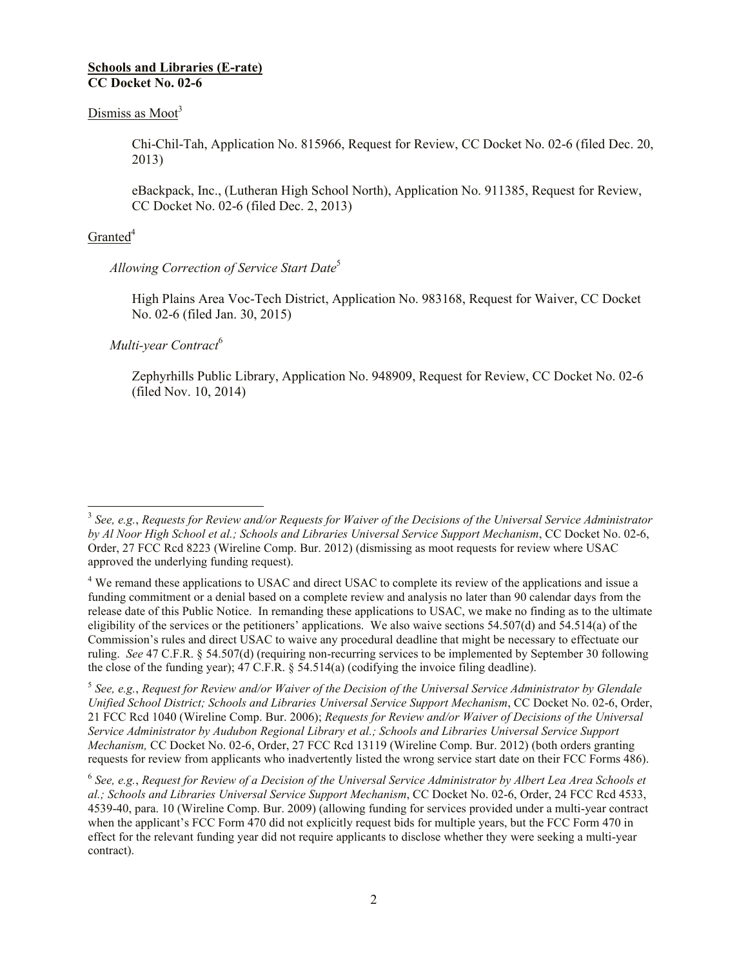### **Schools and Libraries (E-rate) CC Docket No. 02-6**

# Dismiss as  $Moot<sup>3</sup>$

Chi-Chil-Tah, Application No. 815966, Request for Review, CC Docket No. 02-6 (filed Dec. 20, 2013)

eBackpack, Inc., (Lutheran High School North), Application No. 911385, Request for Review, CC Docket No. 02-6 (filed Dec. 2, 2013)

# $G$ ranted<sup>4</sup>

# *Allowing Correction of Service Start Date*<sup>5</sup>

High Plains Area Voc-Tech District, Application No. 983168, Request for Waiver, CC Docket No. 02-6 (filed Jan. 30, 2015)

# *Multi-year Contract*<sup>6</sup>

Zephyrhills Public Library, Application No. 948909, Request for Review, CC Docket No. 02-6 (filed Nov. 10, 2014)

5 *See, e.g.*, *Request for Review and/or Waiver of the Decision of the Universal Service Administrator by Glendale Unified School District; Schools and Libraries Universal Service Support Mechanism*, CC Docket No. 02-6, Order, 21 FCC Rcd 1040 (Wireline Comp. Bur. 2006); *Requests for Review and/or Waiver of Decisions of the Universal Service Administrator by Audubon Regional Library et al.; Schools and Libraries Universal Service Support Mechanism,* CC Docket No. 02-6, Order, 27 FCC Rcd 13119 (Wireline Comp. Bur. 2012) (both orders granting requests for review from applicants who inadvertently listed the wrong service start date on their FCC Forms 486).

6 *See, e.g.*, *Request for Review of a Decision of the Universal Service Administrator by Albert Lea Area Schools et al.; Schools and Libraries Universal Service Support Mechanism*, CC Docket No. 02-6, Order, 24 FCC Rcd 4533, 4539-40, para. 10 (Wireline Comp. Bur. 2009) (allowing funding for services provided under a multi-year contract when the applicant's FCC Form 470 did not explicitly request bids for multiple years, but the FCC Form 470 in effect for the relevant funding year did not require applicants to disclose whether they were seeking a multi-year contract).

 3 *See, e.g.*, *Requests for Review and/or Requests for Waiver of the Decisions of the Universal Service Administrator by Al Noor High School et al.; Schools and Libraries Universal Service Support Mechanism*, CC Docket No. 02-6, Order, 27 FCC Rcd 8223 (Wireline Comp. Bur. 2012) (dismissing as moot requests for review where USAC approved the underlying funding request).

<sup>&</sup>lt;sup>4</sup> We remand these applications to USAC and direct USAC to complete its review of the applications and issue a funding commitment or a denial based on a complete review and analysis no later than 90 calendar days from the release date of this Public Notice. In remanding these applications to USAC, we make no finding as to the ultimate eligibility of the services or the petitioners' applications. We also waive sections 54.507(d) and 54.514(a) of the Commission's rules and direct USAC to waive any procedural deadline that might be necessary to effectuate our ruling. *See* 47 C.F.R. § 54.507(d) (requiring non-recurring services to be implemented by September 30 following the close of the funding year);  $47 \text{ C.F.R. }$   $\frac{54.514(a)}{10.60 \text{ d}}$  (codifying the invoice filing deadline).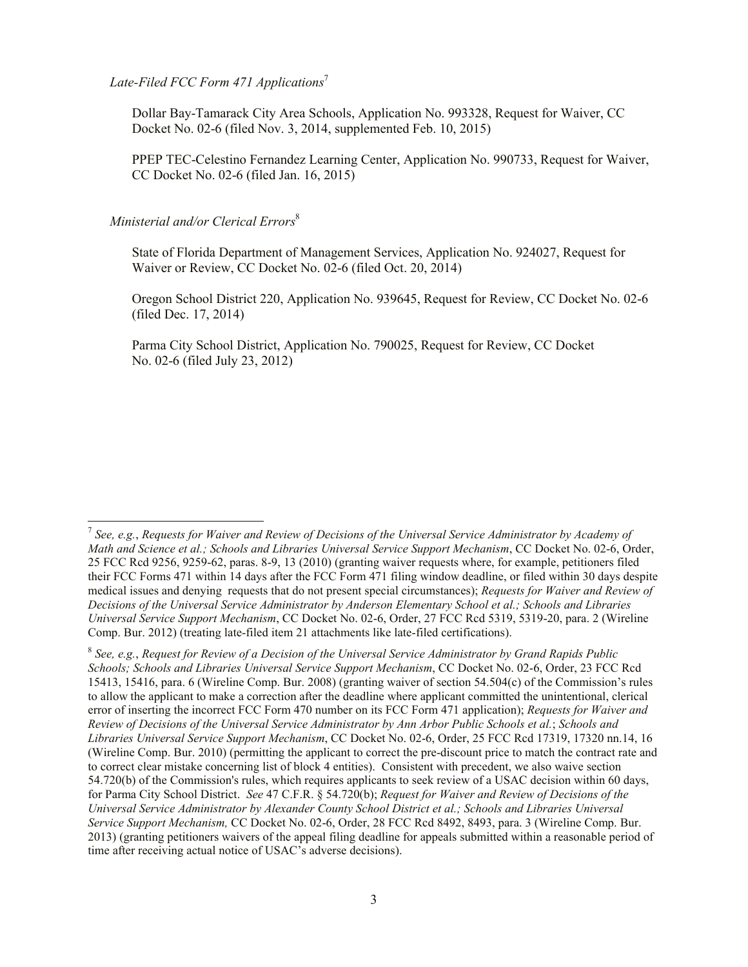### *Late-Filed FCC Form 471 Applications*<sup>7</sup>

Dollar Bay-Tamarack City Area Schools, Application No. 993328, Request for Waiver, CC Docket No. 02-6 (filed Nov. 3, 2014, supplemented Feb. 10, 2015)

PPEP TEC-Celestino Fernandez Learning Center, Application No. 990733, Request for Waiver, CC Docket No. 02-6 (filed Jan. 16, 2015)

# *Ministerial and/or Clerical Errors*<sup>8</sup>

l

State of Florida Department of Management Services, Application No. 924027, Request for Waiver or Review, CC Docket No. 02-6 (filed Oct. 20, 2014)

Oregon School District 220, Application No. 939645, Request for Review, CC Docket No. 02-6 (filed Dec. 17, 2014)

Parma City School District, Application No. 790025, Request for Review, CC Docket No. 02-6 (filed July 23, 2012)

<sup>7</sup> *See, e.g.*, *Requests for Waiver and Review of Decisions of the Universal Service Administrator by Academy of Math and Science et al.; Schools and Libraries Universal Service Support Mechanism*, CC Docket No. 02-6, Order, 25 FCC Rcd 9256, 9259-62, paras. 8-9, 13 (2010) (granting waiver requests where, for example, petitioners filed their FCC Forms 471 within 14 days after the FCC Form 471 filing window deadline, or filed within 30 days despite medical issues and denying requests that do not present special circumstances); *Requests for Waiver and Review of Decisions of the Universal Service Administrator by Anderson Elementary School et al.; Schools and Libraries Universal Service Support Mechanism*, CC Docket No. 02-6, Order, 27 FCC Rcd 5319, 5319-20, para. 2 (Wireline Comp. Bur. 2012) (treating late-filed item 21 attachments like late-filed certifications).

<sup>8</sup> *See, e.g.*, *Request for Review of a Decision of the Universal Service Administrator by Grand Rapids Public Schools; Schools and Libraries Universal Service Support Mechanism*, CC Docket No. 02-6, Order, 23 FCC Rcd 15413, 15416, para. 6 (Wireline Comp. Bur. 2008) (granting waiver of section 54.504(c) of the Commission's rules to allow the applicant to make a correction after the deadline where applicant committed the unintentional, clerical error of inserting the incorrect FCC Form 470 number on its FCC Form 471 application); *Requests for Waiver and Review of Decisions of the Universal Service Administrator by Ann Arbor Public Schools et al.*; *Schools and Libraries Universal Service Support Mechanism*, CC Docket No. 02-6, Order, 25 FCC Rcd 17319, 17320 nn.14, 16 (Wireline Comp. Bur. 2010) (permitting the applicant to correct the pre-discount price to match the contract rate and to correct clear mistake concerning list of block 4 entities). Consistent with precedent, we also waive section 54.720(b) of the Commission's rules, which requires applicants to seek review of a USAC decision within 60 days, for Parma City School District. *See* 47 C.F.R. § 54.720(b); *Request for Waiver and Review of Decisions of the Universal Service Administrator by Alexander County School District et al.; Schools and Libraries Universal Service Support Mechanism,* CC Docket No. 02-6, Order, 28 FCC Rcd 8492, 8493, para. 3 (Wireline Comp. Bur. 2013) (granting petitioners waivers of the appeal filing deadline for appeals submitted within a reasonable period of time after receiving actual notice of USAC's adverse decisions).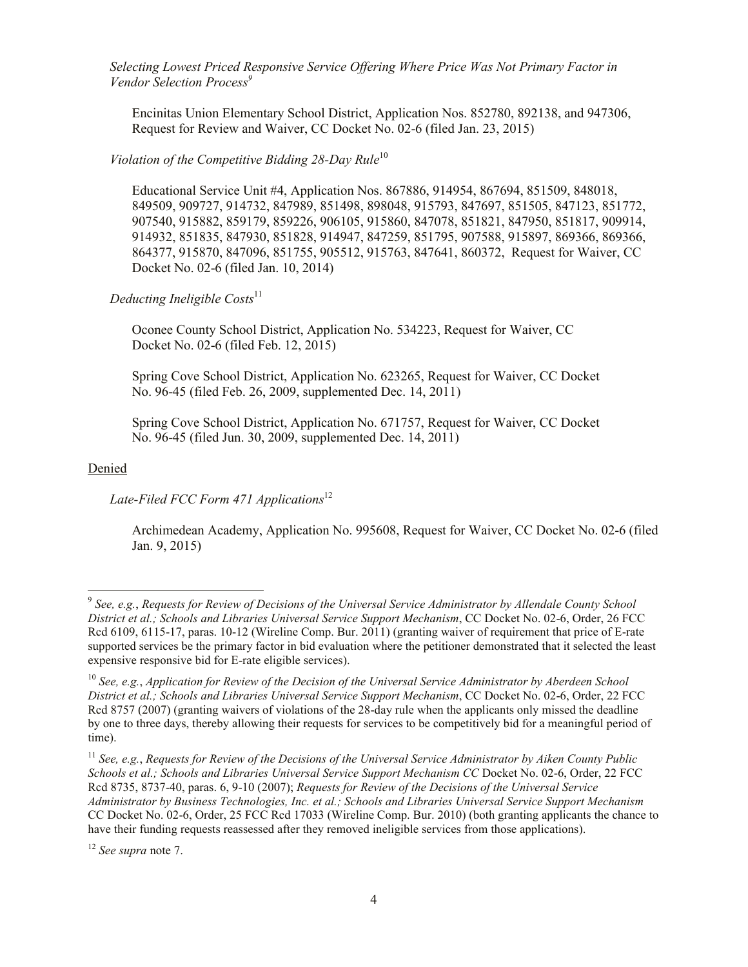*Selecting Lowest Priced Responsive Service Offering Where Price Was Not Primary Factor in Vendor Selection Process 9*

Encinitas Union Elementary School District, Application Nos. 852780, 892138, and 947306, Request for Review and Waiver, CC Docket No. 02-6 (filed Jan. 23, 2015)

*Violation of the Competitive Bidding 28-Day Rule*<sup>10</sup>

Educational Service Unit #4, Application Nos. 867886, 914954, 867694, 851509, 848018, 849509, 909727, 914732, 847989, 851498, 898048, 915793, 847697, 851505, 847123, 851772, 907540, 915882, 859179, 859226, 906105, 915860, 847078, 851821, 847950, 851817, 909914, 914932, 851835, 847930, 851828, 914947, 847259, 851795, 907588, 915897, 869366, 869366, 864377, 915870, 847096, 851755, 905512, 915763, 847641, 860372, Request for Waiver, CC Docket No. 02-6 (filed Jan. 10, 2014)

*Deducting Ineligible Costs* 11

Oconee County School District, Application No. 534223, Request for Waiver, CC Docket No. 02-6 (filed Feb. 12, 2015)

Spring Cove School District, Application No. 623265, Request for Waiver, CC Docket No. 96-45 (filed Feb. 26, 2009, supplemented Dec. 14, 2011)

Spring Cove School District, Application No. 671757, Request for Waiver, CC Docket No. 96-45 (filed Jun. 30, 2009, supplemented Dec. 14, 2011)

#### Denied

l

### Late-Filed FCC Form 471 Applications<sup>12</sup>

Archimedean Academy, Application No. 995608, Request for Waiver, CC Docket No. 02-6 (filed Jan. 9, 2015)

<sup>9</sup> *See, e.g.*, *Requests for Review of Decisions of the Universal Service Administrator by Allendale County School District et al.; Schools and Libraries Universal Service Support Mechanism*, CC Docket No. 02-6, Order, 26 FCC Rcd 6109, 6115-17, paras. 10-12 (Wireline Comp. Bur. 2011) (granting waiver of requirement that price of E-rate supported services be the primary factor in bid evaluation where the petitioner demonstrated that it selected the least expensive responsive bid for E-rate eligible services).

<sup>10</sup> *See, e.g.*, *Application for Review of the Decision of the Universal Service Administrator by Aberdeen School District et al.; Schools and Libraries Universal Service Support Mechanism*, CC Docket No. 02-6, Order, 22 FCC Rcd 8757 (2007) (granting waivers of violations of the 28-day rule when the applicants only missed the deadline by one to three days, thereby allowing their requests for services to be competitively bid for a meaningful period of time).

<sup>11</sup> *See, e.g.*, *Requests for Review of the Decisions of the Universal Service Administrator by Aiken County Public Schools et al.; Schools and Libraries Universal Service Support Mechanism CC* Docket No. 02-6, Order, 22 FCC Rcd 8735, 8737-40, paras. 6, 9-10 (2007); *Requests for Review of the Decisions of the Universal Service Administrator by Business Technologies, Inc. et al.; Schools and Libraries Universal Service Support Mechanism* CC Docket No. 02-6, Order, 25 FCC Rcd 17033 (Wireline Comp. Bur. 2010) (both granting applicants the chance to have their funding requests reassessed after they removed ineligible services from those applications).

<sup>12</sup> *See supra* note 7.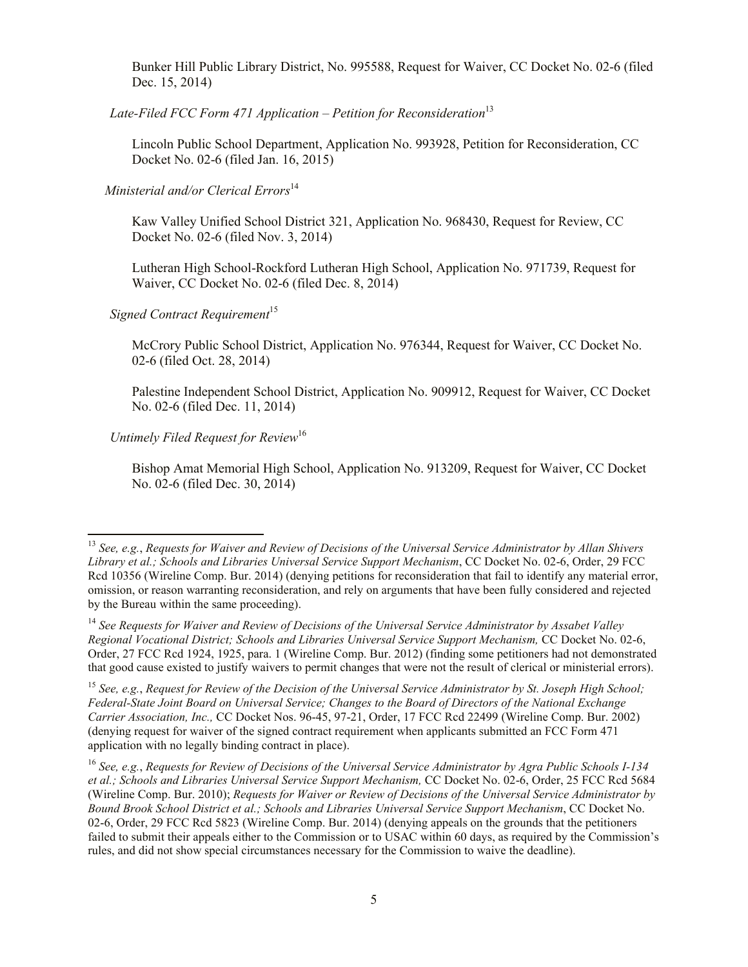Bunker Hill Public Library District, No. 995588, Request for Waiver, CC Docket No. 02-6 (filed Dec. 15, 2014)

*Late-Filed FCC Form 471 Application – Petition for Reconsideration*<sup>13</sup>

Lincoln Public School Department, Application No. 993928, Petition for Reconsideration, CC Docket No. 02-6 (filed Jan. 16, 2015)

*Ministerial and/or Clerical Errors*<sup>14</sup>

Kaw Valley Unified School District 321, Application No. 968430, Request for Review, CC Docket No. 02-6 (filed Nov. 3, 2014)

Lutheran High School-Rockford Lutheran High School, Application No. 971739, Request for Waiver, CC Docket No. 02-6 (filed Dec. 8, 2014)

**Signed Contract Requirement**<sup>15</sup>

McCrory Public School District, Application No. 976344, Request for Waiver, CC Docket No. 02-6 (filed Oct. 28, 2014)

Palestine Independent School District, Application No. 909912, Request for Waiver, CC Docket No. 02-6 (filed Dec. 11, 2014)

*Untimely Filed Request for Review*<sup>16</sup>

l

Bishop Amat Memorial High School, Application No. 913209, Request for Waiver, CC Docket No. 02-6 (filed Dec. 30, 2014)

<sup>15</sup> *See, e.g.*, *Request for Review of the Decision of the Universal Service Administrator by St. Joseph High School; Federal-State Joint Board on Universal Service; Changes to the Board of Directors of the National Exchange Carrier Association, Inc.,* CC Docket Nos. 96-45, 97-21, Order, 17 FCC Rcd 22499 (Wireline Comp. Bur. 2002) (denying request for waiver of the signed contract requirement when applicants submitted an FCC Form 471 application with no legally binding contract in place).

<sup>16</sup> *See, e.g.*, *Requests for Review of Decisions of the Universal Service Administrator by Agra Public Schools I-134 et al.; Schools and Libraries Universal Service Support Mechanism,* CC Docket No. 02-6, Order, 25 FCC Rcd 5684 (Wireline Comp. Bur. 2010); *Requests for Waiver or Review of Decisions of the Universal Service Administrator by Bound Brook School District et al.; Schools and Libraries Universal Service Support Mechanism*, CC Docket No. 02-6, Order, 29 FCC Rcd 5823 (Wireline Comp. Bur. 2014) (denying appeals on the grounds that the petitioners failed to submit their appeals either to the Commission or to USAC within 60 days, as required by the Commission's rules, and did not show special circumstances necessary for the Commission to waive the deadline).

<sup>13</sup> *See, e.g.*, *Requests for Waiver and Review of Decisions of the Universal Service Administrator by Allan Shivers Library et al.; Schools and Libraries Universal Service Support Mechanism*, CC Docket No. 02-6, Order, 29 FCC Rcd 10356 (Wireline Comp. Bur. 2014) (denying petitions for reconsideration that fail to identify any material error, omission, or reason warranting reconsideration, and rely on arguments that have been fully considered and rejected by the Bureau within the same proceeding).

<sup>14</sup> *See Requests for Waiver and Review of Decisions of the Universal Service Administrator by Assabet Valley Regional Vocational District; Schools and Libraries Universal Service Support Mechanism,* CC Docket No. 02-6, Order, 27 FCC Rcd 1924, 1925, para. 1 (Wireline Comp. Bur. 2012) (finding some petitioners had not demonstrated that good cause existed to justify waivers to permit changes that were not the result of clerical or ministerial errors).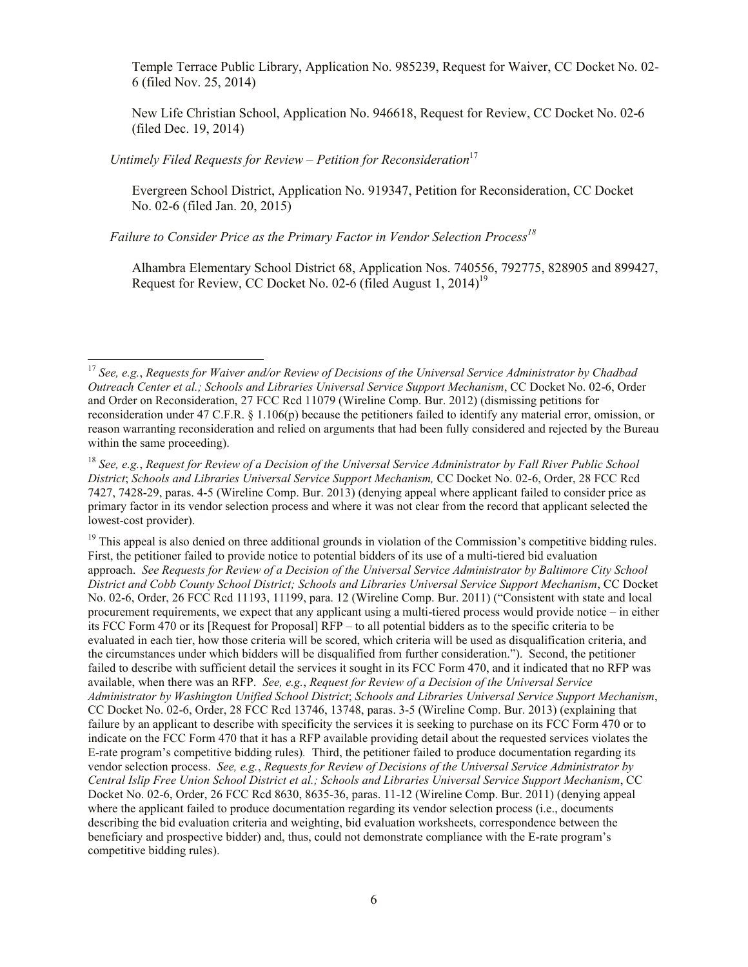Temple Terrace Public Library, Application No. 985239, Request for Waiver, CC Docket No. 02- 6 (filed Nov. 25, 2014)

New Life Christian School, Application No. 946618, Request for Review, CC Docket No. 02-6 (filed Dec. 19, 2014)

*Untimely Filed Requests for Review – Petition for Reconsideration*<sup>17</sup>

 $\overline{\phantom{a}}$ 

Evergreen School District, Application No. 919347, Petition for Reconsideration, CC Docket No. 02-6 (filed Jan. 20, 2015)

*Failure to Consider Price as the Primary Factor in Vendor Selection Process<sup>18</sup>*

Alhambra Elementary School District 68, Application Nos. 740556, 792775, 828905 and 899427, Request for Review, CC Docket No. 02-6 (filed August 1, 2014)<sup>19</sup>

<sup>17</sup> *See, e.g.*, *Requests for Waiver and/or Review of Decisions of the Universal Service Administrator by Chadbad Outreach Center et al.; Schools and Libraries Universal Service Support Mechanism*, CC Docket No. 02-6, Order and Order on Reconsideration, 27 FCC Rcd 11079 (Wireline Comp. Bur. 2012) (dismissing petitions for reconsideration under 47 C.F.R. § 1.106(p) because the petitioners failed to identify any material error, omission, or reason warranting reconsideration and relied on arguments that had been fully considered and rejected by the Bureau within the same proceeding).

<sup>18</sup> *See, e.g.*, *Request for Review of a Decision of the Universal Service Administrator by Fall River Public School District*; *Schools and Libraries Universal Service Support Mechanism,* CC Docket No. 02-6, Order, 28 FCC Rcd 7427, 7428-29, paras. 4-5 (Wireline Comp. Bur. 2013) (denying appeal where applicant failed to consider price as primary factor in its vendor selection process and where it was not clear from the record that applicant selected the lowest-cost provider).

<sup>&</sup>lt;sup>19</sup> This appeal is also denied on three additional grounds in violation of the Commission's competitive bidding rules. First, the petitioner failed to provide notice to potential bidders of its use of a multi-tiered bid evaluation approach. *See Requests for Review of a Decision of the Universal Service Administrator by Baltimore City School District and Cobb County School District; Schools and Libraries Universal Service Support Mechanism*, CC Docket No. 02-6, Order, 26 FCC Rcd 11193, 11199, para. 12 (Wireline Comp. Bur. 2011) ("Consistent with state and local procurement requirements, we expect that any applicant using a multi-tiered process would provide notice – in either its FCC Form 470 or its [Request for Proposal] RFP – to all potential bidders as to the specific criteria to be evaluated in each tier, how those criteria will be scored, which criteria will be used as disqualification criteria, and the circumstances under which bidders will be disqualified from further consideration."). Second, the petitioner failed to describe with sufficient detail the services it sought in its FCC Form 470, and it indicated that no RFP was available, when there was an RFP. *See, e.g.*, *Request for Review of a Decision of the Universal Service Administrator by Washington Unified School District*; *Schools and Libraries Universal Service Support Mechanism*, CC Docket No. 02-6, Order, 28 FCC Rcd 13746, 13748, paras. 3-5 (Wireline Comp. Bur. 2013) (explaining that failure by an applicant to describe with specificity the services it is seeking to purchase on its FCC Form 470 or to indicate on the FCC Form 470 that it has a RFP available providing detail about the requested services violates the E-rate program's competitive bidding rules)*.* Third, the petitioner failed to produce documentation regarding its vendor selection process. *See, e.g.*, *Requests for Review of Decisions of the Universal Service Administrator by Central Islip Free Union School District et al.; Schools and Libraries Universal Service Support Mechanism*, CC Docket No. 02-6, Order, 26 FCC Rcd 8630, 8635-36, paras. 11-12 (Wireline Comp. Bur. 2011) (denying appeal where the applicant failed to produce documentation regarding its vendor selection process (i.e., documents describing the bid evaluation criteria and weighting, bid evaluation worksheets, correspondence between the beneficiary and prospective bidder) and, thus, could not demonstrate compliance with the E-rate program's competitive bidding rules).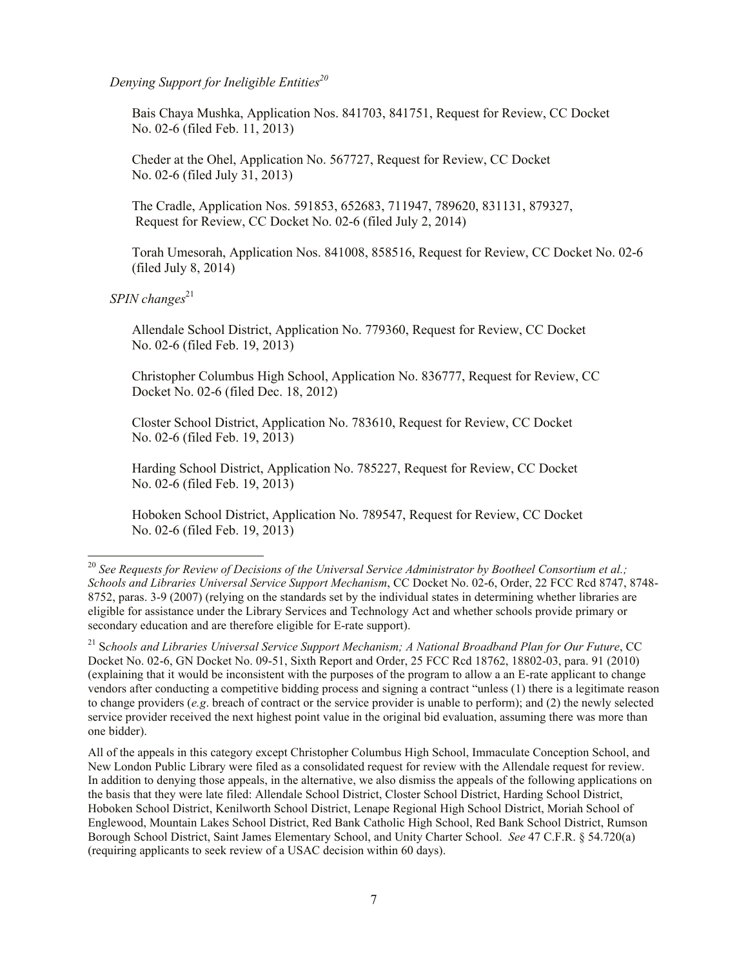*Denying Support for Ineligible Entities<sup>20</sup>*

Bais Chaya Mushka, Application Nos. 841703, 841751, Request for Review, CC Docket No. 02-6 (filed Feb. 11, 2013)

Cheder at the Ohel, Application No. 567727, Request for Review, CC Docket No. 02-6 (filed July 31, 2013)

The Cradle, Application Nos. 591853, 652683, 711947, 789620, 831131, 879327, Request for Review, CC Docket No. 02-6 (filed July 2, 2014)

Torah Umesorah, Application Nos. 841008, 858516, Request for Review, CC Docket No. 02-6 (filed July 8, 2014)

*SPIN changes*<sup>21</sup>

l

Allendale School District, Application No. 779360, Request for Review, CC Docket No. 02-6 (filed Feb. 19, 2013)

Christopher Columbus High School, Application No. 836777, Request for Review, CC Docket No. 02-6 (filed Dec. 18, 2012)

Closter School District, Application No. 783610, Request for Review, CC Docket No. 02-6 (filed Feb. 19, 2013)

Harding School District, Application No. 785227, Request for Review, CC Docket No. 02-6 (filed Feb. 19, 2013)

Hoboken School District, Application No. 789547, Request for Review, CC Docket No. 02-6 (filed Feb. 19, 2013)

<sup>&</sup>lt;sup>20</sup> See Requests for Review of Decisions of the Universal Service Administrator by Bootheel Consortium et al.; *Schools and Libraries Universal Service Support Mechanism*, CC Docket No. 02-6, Order, 22 FCC Rcd 8747, 8748- 8752, paras. 3-9 (2007) (relying on the standards set by the individual states in determining whether libraries are eligible for assistance under the Library Services and Technology Act and whether schools provide primary or secondary education and are therefore eligible for E-rate support).

<sup>&</sup>lt;sup>21</sup> Schools and Libraries Universal Service Support Mechanism; A National Broadband Plan for Our Future, CC Docket No. 02-6, GN Docket No. 09-51, Sixth Report and Order, 25 FCC Rcd 18762, 18802-03, para. 91 (2010) (explaining that it would be inconsistent with the purposes of the program to allow a an E-rate applicant to change vendors after conducting a competitive bidding process and signing a contract "unless (1) there is a legitimate reason to change providers (*e.g*. breach of contract or the service provider is unable to perform); and (2) the newly selected service provider received the next highest point value in the original bid evaluation, assuming there was more than one bidder).

All of the appeals in this category except Christopher Columbus High School, Immaculate Conception School, and New London Public Library were filed as a consolidated request for review with the Allendale request for review. In addition to denying those appeals, in the alternative, we also dismiss the appeals of the following applications on the basis that they were late filed: Allendale School District, Closter School District, Harding School District, Hoboken School District, Kenilworth School District, Lenape Regional High School District, Moriah School of Englewood, Mountain Lakes School District, Red Bank Catholic High School, Red Bank School District, Rumson Borough School District, Saint James Elementary School, and Unity Charter School. *See* 47 C.F.R. § 54.720(a) (requiring applicants to seek review of a USAC decision within 60 days).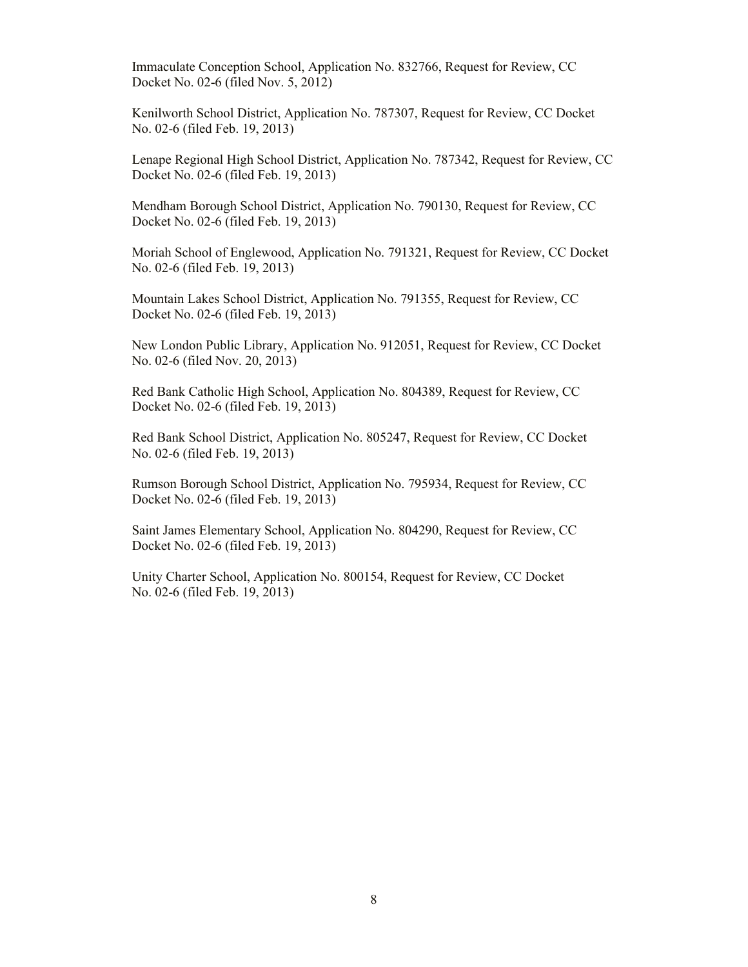Immaculate Conception School, Application No. 832766, Request for Review, CC Docket No. 02-6 (filed Nov. 5, 2012)

Kenilworth School District, Application No. 787307, Request for Review, CC Docket No. 02-6 (filed Feb. 19, 2013)

Lenape Regional High School District, Application No. 787342, Request for Review, CC Docket No. 02-6 (filed Feb. 19, 2013)

Mendham Borough School District, Application No. 790130, Request for Review, CC Docket No. 02-6 (filed Feb. 19, 2013)

Moriah School of Englewood, Application No. 791321, Request for Review, CC Docket No. 02-6 (filed Feb. 19, 2013)

Mountain Lakes School District, Application No. 791355, Request for Review, CC Docket No. 02-6 (filed Feb. 19, 2013)

New London Public Library, Application No. 912051, Request for Review, CC Docket No. 02-6 (filed Nov. 20, 2013)

Red Bank Catholic High School, Application No. 804389, Request for Review, CC Docket No. 02-6 (filed Feb. 19, 2013)

Red Bank School District, Application No. 805247, Request for Review, CC Docket No. 02-6 (filed Feb. 19, 2013)

Rumson Borough School District, Application No. 795934, Request for Review, CC Docket No. 02-6 (filed Feb. 19, 2013)

Saint James Elementary School, Application No. 804290, Request for Review, CC Docket No. 02-6 (filed Feb. 19, 2013)

Unity Charter School, Application No. 800154, Request for Review, CC Docket No. 02-6 (filed Feb. 19, 2013)